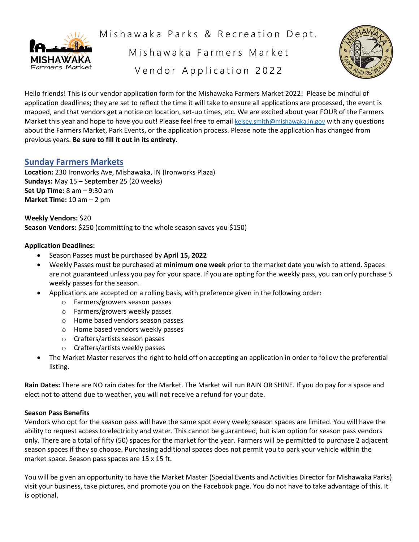

Mishawaka Parks & Recreation Dept.

Mishawaka Farmers Market Vendor Application 2022



Hello friends! This is our vendor application form for the Mishawaka Farmers Market 2022! Please be mindful of application deadlines; they are set to reflect the time it will take to ensure all applications are processed, the event is mapped, and that vendors get a notice on location, set-up times, etc. We are excited about year FOUR of the Farmers Market this year and hope to have you out! Please feel free to email [kelsey.smith@mishawaka.in.gov](mailto:kelsey.smith@mishawaka.in.gov) with any questions about the Farmers Market, Park Events, or the application process. Please note the application has changed from previous years. **Be sure to fill it out in its entirety.** 

# **Sunday Farmers Markets**

**Location:** 230 Ironworks Ave, Mishawaka, IN (Ironworks Plaza) **Sundays:** May 15 – September 25 (20 weeks) **Set Up Time:** 8 am – 9:30 am **Market Time:** 10 am – 2 pm

**Weekly Vendors:** \$20 **Season Vendors:** \$250 (committing to the whole season saves you \$150)

# **Application Deadlines:**

- Season Passes must be purchased by **April 15, 2022**
- Weekly Passes must be purchased at **minimum one week** prior to the market date you wish to attend. Spaces are not guaranteed unless you pay for your space. If you are opting for the weekly pass, you can only purchase 5 weekly passes for the season.
- Applications are accepted on a rolling basis, with preference given in the following order:
	- o Farmers/growers season passes
	- o Farmers/growers weekly passes
	- o Home based vendors season passes
	- o Home based vendors weekly passes
	- o Crafters/artists season passes
	- o Crafters/artists weekly passes
- The Market Master reserves the right to hold off on accepting an application in order to follow the preferential listing.

**Rain Dates:** There are NO rain dates for the Market. The Market will run RAIN OR SHINE. If you do pay for a space and elect not to attend due to weather, you will not receive a refund for your date.

### **Season Pass Benefits**

Vendors who opt for the season pass will have the same spot every week; season spaces are limited. You will have the ability to request access to electricity and water. This cannot be guaranteed, but is an option for season pass vendors only. There are a total of fifty (50) spaces for the market for the year. Farmers will be permitted to purchase 2 adjacent season spaces if they so choose. Purchasing additional spaces does not permit you to park your vehicle within the market space. Season pass spaces are 15 x 15 ft.

You will be given an opportunity to have the Market Master (Special Events and Activities Director for Mishawaka Parks) visit your business, take pictures, and promote you on the Facebook page. You do not have to take advantage of this. It is optional.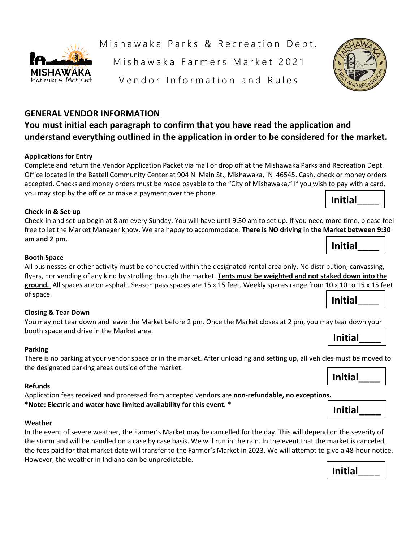

# **You must initial each paragraph to confirm that you have read the application and understand everything outlined in the application in order to be considered for the market.**

# **Applications for Entry**

**ISHAWAK** Farmers Market

Complete and return the Vendor Application Packet via mail or drop off at the Mishawaka Parks and Recreation Dept. Office located in the Battell Community Center at 904 N. Main St., Mishawaka, IN 46545. Cash, check or money orders accepted. Checks and money orders must be made payable to the "City of Mishawaka." If you wish to pay with a card, you may stop by the office or make a payment over the phone. **Initial\_\_\_\_**

### **Check-in & Set-up**

Check-in and set-up begin at 8 am every Sunday. You will have until 9:30 am to set up. If you need more time, please feel free to let the Market Manager know. We are happy to accommodate. **There is NO driving in the Market between 9:30 am and 2 pm.**

### **Booth Space**

All businesses or other activity must be conducted within the designated rental area only. No distribution, canvassing, flyers, nor vending of any kind by strolling through the market. **Tents must be weighted and not staked down into the ground.** All spaces are on asphalt. Season pass spaces are 15 x 15 feet. Weekly spaces range from 10 x 10 to 15 x 15 feet of space. **Initial\_\_\_\_**

#### **Closing & Tear Down**

You may not tear down and leave the Market before 2 pm. Once the Market closes at 2 pm, you may tear down your booth space and drive in the Market area. **Initial\_\_\_\_**

#### **Parking**

There is no parking at your vendor space or in the market. After unloading and setting up, all vehicles must be moved to the designated parking areas outside of the market.

#### **Refunds**

Application fees received and processed from accepted vendors are **non-refundable, no exceptions. \*Note: Electric and water have limited availability for this event. \***

#### **Weather**

In the event of severe weather, the Farmer's Market may be cancelled for the day. This will depend on the severity of the storm and will be handled on a case by case basis. We will run in the rain. In the event that the market is canceled, the fees paid for that market date will transfer to the Farmer's Market in 2023. We will attempt to give a 48-hour notice. However, the weather in Indiana can be unpredictable.

Mishawaka Farmers Market 2021

Vendor Information and Rules



**Initial\_\_\_\_**

# **Initial\_\_\_\_**



# **Initial\_\_\_\_**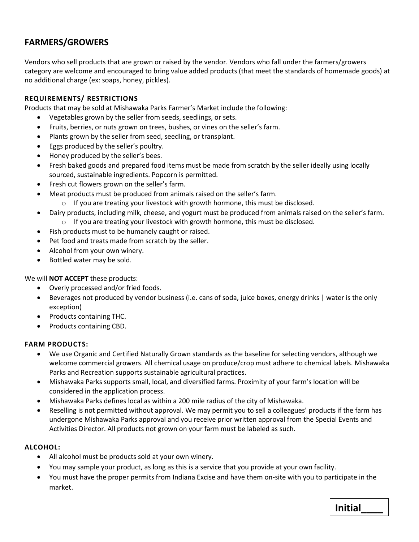# **FARMERS/GROWERS**

Vendors who sell products that are grown or raised by the vendor. Vendors who fall under the farmers/growers category are welcome and encouraged to bring value added products (that meet the standards of homemade goods) at no additional charge (ex: soaps, honey, pickles).

# **REQUIREMENTS/ RESTRICTIONS**

Products that may be sold at Mishawaka Parks Farmer's Market include the following:

- Vegetables grown by the seller from seeds, seedlings, or sets.
- Fruits, berries, or nuts grown on trees, bushes, or vines on the seller's farm.
- Plants grown by the seller from seed, seedling, or transplant.
- Eggs produced by the seller's poultry.
- Honey produced by the seller's bees.
- Fresh baked goods and prepared food items must be made from scratch by the seller ideally using locally sourced, sustainable ingredients. Popcorn is permitted.
- Fresh cut flowers grown on the seller's farm.
- Meat products must be produced from animals raised on the seller's farm.
	- o If you are treating your livestock with growth hormone, this must be disclosed.
- Dairy products, including milk, cheese, and yogurt must be produced from animals raised on the seller's farm. o If you are treating your livestock with growth hormone, this must be disclosed.
- Fish products must to be humanely caught or raised.
- Pet food and treats made from scratch by the seller.
- Alcohol from your own winery.
- Bottled water may be sold.

### We will **NOT ACCEPT** these products:

- Overly processed and/or fried foods.
- Beverages not produced by vendor business (i.e. cans of soda, juice boxes, energy drinks | water is the only exception)
- Products containing THC.
- Products containing CBD.

### **FARM PRODUCTS:**

- We use Organic and Certified Naturally Grown standards as the baseline for selecting vendors, although we welcome commercial growers. All chemical usage on produce/crop must adhere to chemical labels. Mishawaka Parks and Recreation supports sustainable agricultural practices.
- Mishawaka Parks supports small, local, and diversified farms. Proximity of your farm's location will be considered in the application process.
- Mishawaka Parks defines local as within a 200 mile radius of the city of Mishawaka.
- Reselling is not permitted without approval. We may permit you to sell a colleagues' products if the farm has undergone Mishawaka Parks approval and you receive prior written approval from the Special Events and Activities Director. All products not grown on your farm must be labeled as such.

### **ALCOHOL:**

- All alcohol must be products sold at your own winery.
- You may sample your product, as long as this is a service that you provide at your own facility.
- You must have the proper permits from Indiana Excise and have them on-site with you to participate in the market.

**Initial\_\_\_\_**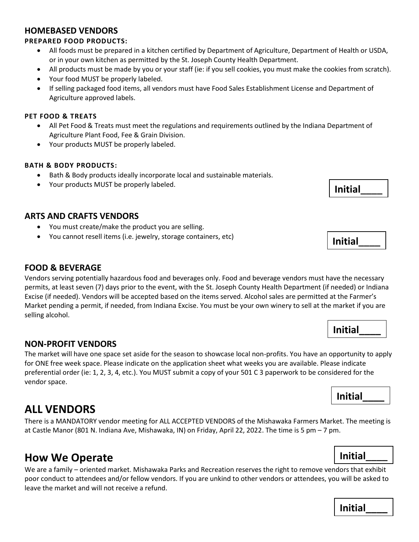# **HOMEBASED VENDORS**

# **PREPARED FOOD PRODUCTS:**

- All foods must be prepared in a kitchen certified by Department of Agriculture, Department of Health or USDA, or in your own kitchen as permitted by the St. Joseph County Health Department.
- All products must be made by you or your staff (ie: if you sell cookies, you must make the cookies from scratch).
- Your food MUST be properly labeled.
- If selling packaged food items, all vendors must have Food Sales Establishment License and Department of Agriculture approved labels.

## **PET FOOD & TREATS**

- All Pet Food & Treats must meet the regulations and requirements outlined by the Indiana Department of Agriculture Plant Food, Fee & Grain Division.
- Your products MUST be properly labeled.

# **BATH & BODY PRODUCTS:**

- Bath & Body products ideally incorporate local and sustainable materials.
- Your products MUST be properly labeled.

# **ARTS AND CRAFTS VENDORS**

- You must create/make the product you are selling.
- You cannot resell items (i.e. jewelry, storage containers, etc)

# **FOOD & BEVERAGE**

Vendors serving potentially hazardous food and beverages only. Food and beverage vendors must have the necessary permits, at least seven (7) days prior to the event, with the St. Joseph County Health Department (if needed) or Indiana Excise (if needed). Vendors will be accepted based on the items served. Alcohol sales are permitted at the Farmer's Market pending a permit, if needed, from Indiana Excise. You must be your own winery to sell at the market if you are selling alcohol.

# **NON-PROFIT VENDORS**

The market will have one space set aside for the season to showcase local non-profits. You have an opportunity to apply for ONE free week space. Please indicate on the application sheet what weeks you are available. Please indicate preferential order (ie: 1, 2, 3, 4, etc.). You MUST submit a copy of your 501 C 3 paperwork to be considered for the vendor space.

# **ALL VENDORS**

There is a MANDATORY vendor meeting for ALL ACCEPTED VENDORS of the Mishawaka Farmers Market. The meeting is at Castle Manor (801 N. Indiana Ave, Mishawaka, IN) on Friday, April 22, 2022. The time is 5 pm – 7 pm.

# **How We Operate**

We are a family – oriented market. Mishawaka Parks and Recreation reserves the right to remove vendors that exhibit poor conduct to attendees and/or fellow vendors. If you are unkind to other vendors or attendees, you will be asked to leave the market and will not receive a refund.

**Initial\_\_\_\_**

| Initial |  |
|---------|--|
|         |  |

**Initial\_\_\_\_**

**Initial\_\_\_\_**

# **Initial\_\_\_\_**

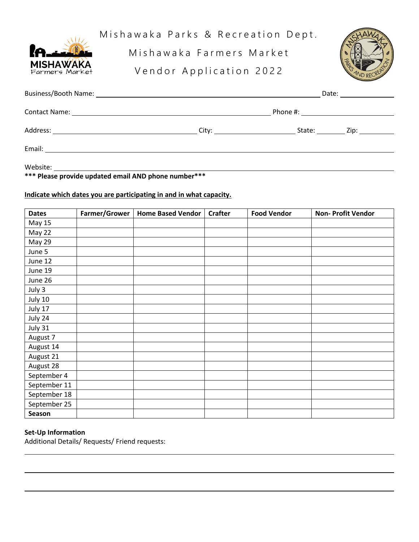

Mishawaka Parks & Recreation Dept.

Mishawaka Farmers Market

Vendor Application 2022



|        |                                                                                                                                                                                                                                | Date: |             |
|--------|--------------------------------------------------------------------------------------------------------------------------------------------------------------------------------------------------------------------------------|-------|-------------|
|        |                                                                                                                                                                                                                                |       |             |
|        | City: the contract of the contract of the contract of the contract of the contract of the contract of the contract of the contract of the contract of the contract of the contract of the contract of the contract of the cont |       | State: Zip: |
| Email: |                                                                                                                                                                                                                                |       |             |

Website:

**\*\*\* Please provide updated email AND phone number\*\*\***

# **Indicate which dates you are participating in and in what capacity.**

| <b>Dates</b>  | Farmer/Grower | <b>Home Based Vendor</b> | <b>Crafter</b> | <b>Food Vendor</b> | <b>Non- Profit Vendor</b> |
|---------------|---------------|--------------------------|----------------|--------------------|---------------------------|
| <b>May 15</b> |               |                          |                |                    |                           |
| May 22        |               |                          |                |                    |                           |
| May 29        |               |                          |                |                    |                           |
| June 5        |               |                          |                |                    |                           |
| June 12       |               |                          |                |                    |                           |
| June 19       |               |                          |                |                    |                           |
| June 26       |               |                          |                |                    |                           |
| July 3        |               |                          |                |                    |                           |
| July 10       |               |                          |                |                    |                           |
| July 17       |               |                          |                |                    |                           |
| July 24       |               |                          |                |                    |                           |
| July 31       |               |                          |                |                    |                           |
| August 7      |               |                          |                |                    |                           |
| August 14     |               |                          |                |                    |                           |
| August 21     |               |                          |                |                    |                           |
| August 28     |               |                          |                |                    |                           |
| September 4   |               |                          |                |                    |                           |
| September 11  |               |                          |                |                    |                           |
| September 18  |               |                          |                |                    |                           |
| September 25  |               |                          |                |                    |                           |
| Season        |               |                          |                |                    |                           |

# **Set-Up Information**

Additional Details/ Requests/ Friend requests: